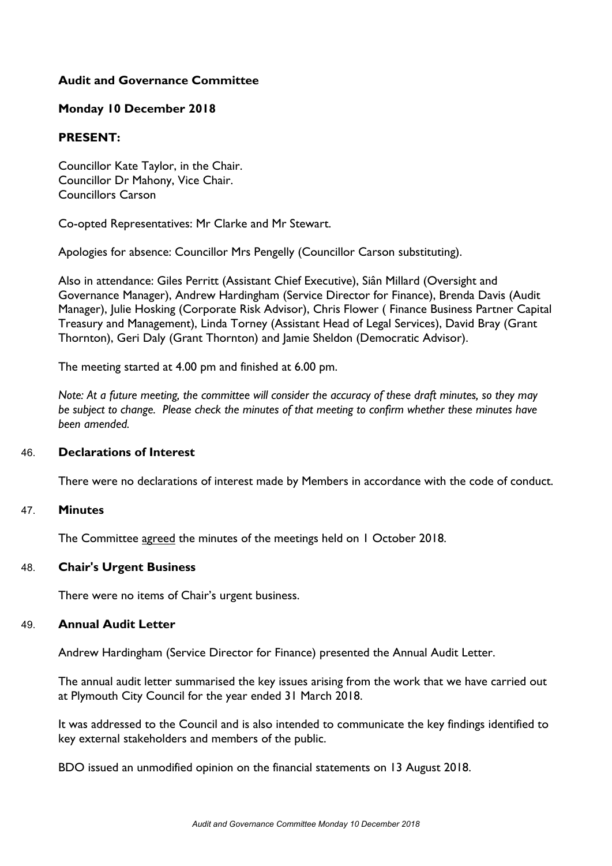# **Audit and Governance Committee**

### **Monday 10 December 2018**

### **PRESENT:**

Councillor Kate Taylor, in the Chair. Councillor Dr Mahony, Vice Chair. Councillors Carson

Co-opted Representatives: Mr Clarke and Mr Stewart.

Apologies for absence: Councillor Mrs Pengelly (Councillor Carson substituting).

Also in attendance: Giles Perritt (Assistant Chief Executive), Siân Millard (Oversight and Governance Manager), Andrew Hardingham (Service Director for Finance), Brenda Davis (Audit Manager), Julie Hosking (Corporate Risk Advisor), Chris Flower ( Finance Business Partner Capital Treasury and Management), Linda Torney (Assistant Head of Legal Services), David Bray (Grant Thornton), Geri Daly (Grant Thornton) and Jamie Sheldon (Democratic Advisor).

The meeting started at 4.00 pm and finished at 6.00 pm.

Note: At a future meeting, the committee will consider the accuracy of these draft minutes, so they may *be subject to change. Please check the minutes of that meeting to confirm whether these minutes have been amended.*

#### 46. **Declarations of Interest**

There were no declarations of interest made by Members in accordance with the code of conduct.

#### 47. **Minutes**

The Committee agreed the minutes of the meetings held on 1 October 2018.

# 48. **Chair's Urgent Business**

There were no items of Chair's urgent business.

# 49. **Annual Audit Letter**

Andrew Hardingham (Service Director for Finance) presented the Annual Audit Letter.

The annual audit letter summarised the key issues arising from the work that we have carried out at Plymouth City Council for the year ended 31 March 2018.

It was addressed to the Council and is also intended to communicate the key findings identified to key external stakeholders and members of the public.

BDO issued an unmodified opinion on the financial statements on 13 August 2018.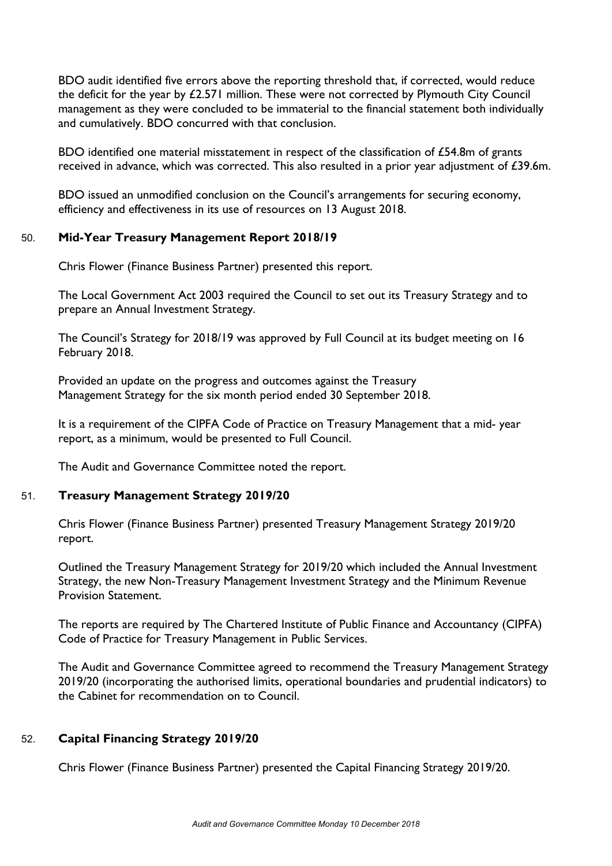BDO audit identified five errors above the reporting threshold that, if corrected, would reduce the deficit for the year by £2.571 million. These were not corrected by Plymouth City Council management as they were concluded to be immaterial to the financial statement both individually and cumulatively. BDO concurred with that conclusion.

BDO identified one material misstatement in respect of the classification of £54.8m of grants received in advance, which was corrected. This also resulted in a prior year adjustment of £39.6m.

BDO issued an unmodified conclusion on the Council's arrangements for securing economy, efficiency and effectiveness in its use of resources on 13 August 2018.

# 50. **Mid-Year Treasury Management Report 2018/19**

Chris Flower (Finance Business Partner) presented this report.

The Local Government Act 2003 required the Council to set out its Treasury Strategy and to prepare an Annual Investment Strategy.

The Council's Strategy for 2018/19 was approved by Full Council at its budget meeting on 16 February 2018.

Provided an update on the progress and outcomes against the Treasury Management Strategy for the six month period ended 30 September 2018.

It is a requirement of the CIPFA Code of Practice on Treasury Management that a mid- year report, as a minimum, would be presented to Full Council.

The Audit and Governance Committee noted the report.

#### 51. **Treasury Management Strategy 2019/20**

Chris Flower (Finance Business Partner) presented Treasury Management Strategy 2019/20 report.

Outlined the Treasury Management Strategy for 2019/20 which included the Annual Investment Strategy, the new Non-Treasury Management Investment Strategy and the Minimum Revenue Provision Statement.

The reports are required by The Chartered Institute of Public Finance and Accountancy (CIPFA) Code of Practice for Treasury Management in Public Services.

The Audit and Governance Committee agreed to recommend the Treasury Management Strategy 2019/20 (incorporating the authorised limits, operational boundaries and prudential indicators) to the Cabinet for recommendation on to Council.

# 52. **Capital Financing Strategy 2019/20**

Chris Flower (Finance Business Partner) presented the Capital Financing Strategy 2019/20.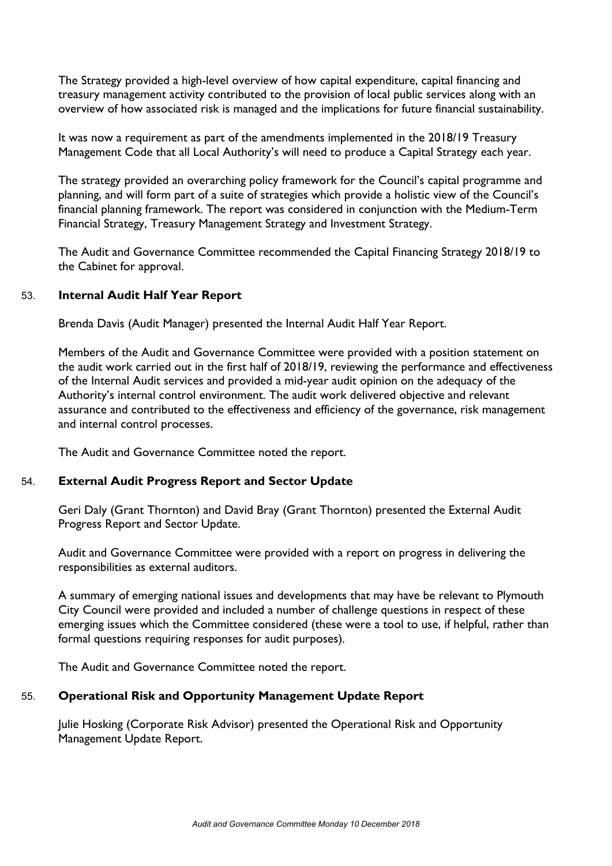The Strategy provided a high-level overview of how capital expenditure, capital financing and treasury management activity contributed to the provision of local public services along with an overview of how associated risk is managed and the implications for future financial sustainability.

It was now a requirement as part of the amendments implemented in the 2018/19 Treasury Management Code that all Local Authority's will need to produce a Capital Strategy each year.

The strategy provided an overarching policy framework for the Council's capital programme and planning, and will form part of a suite of strategies which provide a holistic view of the Council's financial planning framework. The report was considered in conjunction with the Medium-Term Financial Strategy, Treasury Management Strategy and Investment Strategy.

The Audit and Governance Committee recommended the Capital Financing Strategy 2018/19 to the Cabinet for approval.

#### 53. **Internal Audit Half Year Report**

Brenda Davis (Audit Manager) presented the Internal Audit Half Year Report.

Members of the Audit and Governance Committee were provided with a position statement on the audit work carried out in the first half of 2018/19, reviewing the performance and effectiveness of the Internal Audit services and provided a mid-year audit opinion on the adequacy of the Authority's internal control environment. The audit work delivered objective and relevant assurance and contributed to the effectiveness and efficiency of the governance, risk management and internal control processes.

The Audit and Governance Committee noted the report.

# 54. **External Audit Progress Report and Sector Update**

Geri Daly (Grant Thornton) and David Bray (Grant Thornton) presented the External Audit Progress Report and Sector Update.

Audit and Governance Committee were provided with a report on progress in delivering the responsibilities as external auditors.

A summary of emerging national issues and developments that may have be relevant to Plymouth City Council were provided and included a number of challenge questions in respect of these emerging issues which the Committee considered (these were a tool to use, if helpful, rather than formal questions requiring responses for audit purposes).

The Audit and Governance Committee noted the report.

# 55. **Operational Risk and Opportunity Management Update Report**

Julie Hosking (Corporate Risk Advisor) presented the Operational Risk and Opportunity Management Update Report.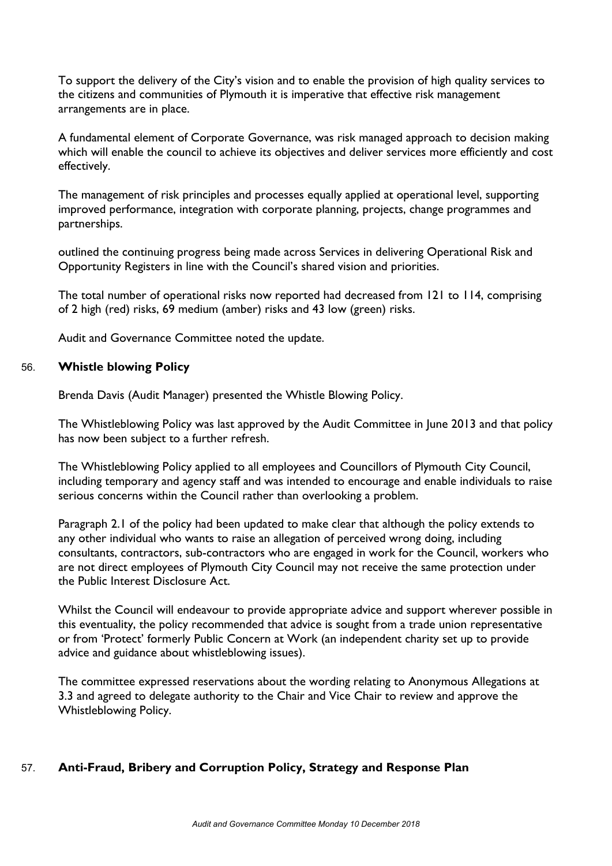To support the delivery of the City's vision and to enable the provision of high quality services to the citizens and communities of Plymouth it is imperative that effective risk management arrangements are in place.

A fundamental element of Corporate Governance, was risk managed approach to decision making which will enable the council to achieve its objectives and deliver services more efficiently and cost effectively.

The management of risk principles and processes equally applied at operational level, supporting improved performance, integration with corporate planning, projects, change programmes and partnerships.

outlined the continuing progress being made across Services in delivering Operational Risk and Opportunity Registers in line with the Council's shared vision and priorities.

The total number of operational risks now reported had decreased from 121 to 114, comprising of 2 high (red) risks, 69 medium (amber) risks and 43 low (green) risks.

Audit and Governance Committee noted the update.

### 56. **Whistle blowing Policy**

Brenda Davis (Audit Manager) presented the Whistle Blowing Policy.

The Whistleblowing Policy was last approved by the Audit Committee in June 2013 and that policy has now been subject to a further refresh.

The Whistleblowing Policy applied to all employees and Councillors of Plymouth City Council, including temporary and agency staff and was intended to encourage and enable individuals to raise serious concerns within the Council rather than overlooking a problem.

Paragraph 2.1 of the policy had been updated to make clear that although the policy extends to any other individual who wants to raise an allegation of perceived wrong doing, including consultants, contractors, sub-contractors who are engaged in work for the Council, workers who are not direct employees of Plymouth City Council may not receive the same protection under the Public Interest Disclosure Act.

Whilst the Council will endeavour to provide appropriate advice and support wherever possible in this eventuality, the policy recommended that advice is sought from a trade union representative or from 'Protect' formerly Public Concern at Work (an independent charity set up to provide advice and guidance about whistleblowing issues).

The committee expressed reservations about the wording relating to Anonymous Allegations at 3.3 and agreed to delegate authority to the Chair and Vice Chair to review and approve the Whistleblowing Policy.

# 57. **Anti-Fraud, Bribery and Corruption Policy, Strategy and Response Plan**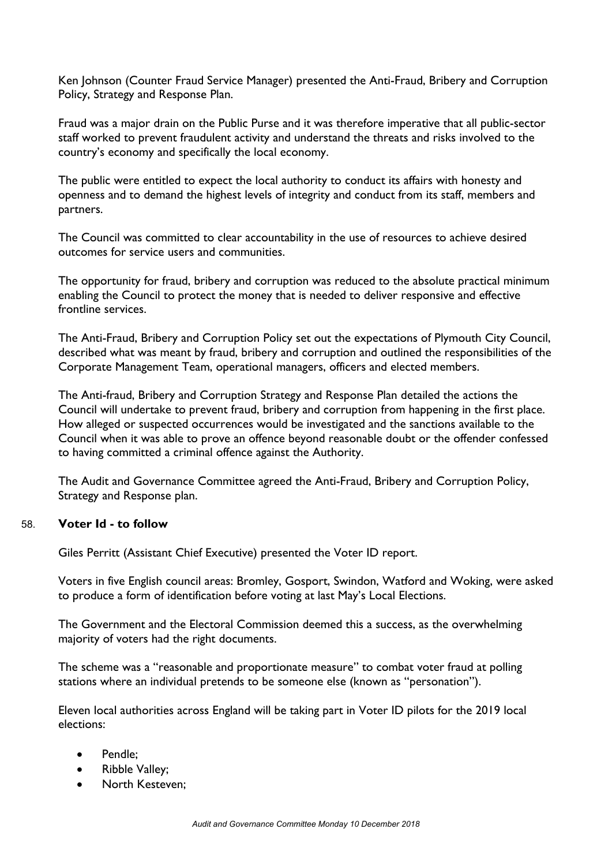Ken Johnson (Counter Fraud Service Manager) presented the Anti-Fraud, Bribery and Corruption Policy, Strategy and Response Plan.

Fraud was a major drain on the Public Purse and it was therefore imperative that all public-sector staff worked to prevent fraudulent activity and understand the threats and risks involved to the country's economy and specifically the local economy.

The public were entitled to expect the local authority to conduct its affairs with honesty and openness and to demand the highest levels of integrity and conduct from its staff, members and partners.

The Council was committed to clear accountability in the use of resources to achieve desired outcomes for service users and communities.

The opportunity for fraud, bribery and corruption was reduced to the absolute practical minimum enabling the Council to protect the money that is needed to deliver responsive and effective frontline services.

The Anti-Fraud, Bribery and Corruption Policy set out the expectations of Plymouth City Council, described what was meant by fraud, bribery and corruption and outlined the responsibilities of the Corporate Management Team, operational managers, officers and elected members.

The Anti-fraud, Bribery and Corruption Strategy and Response Plan detailed the actions the Council will undertake to prevent fraud, bribery and corruption from happening in the first place. How alleged or suspected occurrences would be investigated and the sanctions available to the Council when it was able to prove an offence beyond reasonable doubt or the offender confessed to having committed a criminal offence against the Authority.

The Audit and Governance Committee agreed the Anti-Fraud, Bribery and Corruption Policy, Strategy and Response plan.

#### 58. **Voter Id - to follow**

Giles Perritt (Assistant Chief Executive) presented the Voter ID report.

Voters in five English council areas: Bromley, Gosport, Swindon, Watford and Woking, were asked to produce a form of identification before voting at last May's Local Elections.

The Government and the Electoral Commission deemed this a success, as the overwhelming majority of voters had the right documents.

The scheme was a "reasonable and proportionate measure" to combat voter fraud at polling stations where an individual pretends to be someone else (known as "personation").

Eleven local authorities across England will be taking part in Voter ID pilots for the 2019 local elections:

- Pendle;
- Ribble Valley;
- North Kesteven;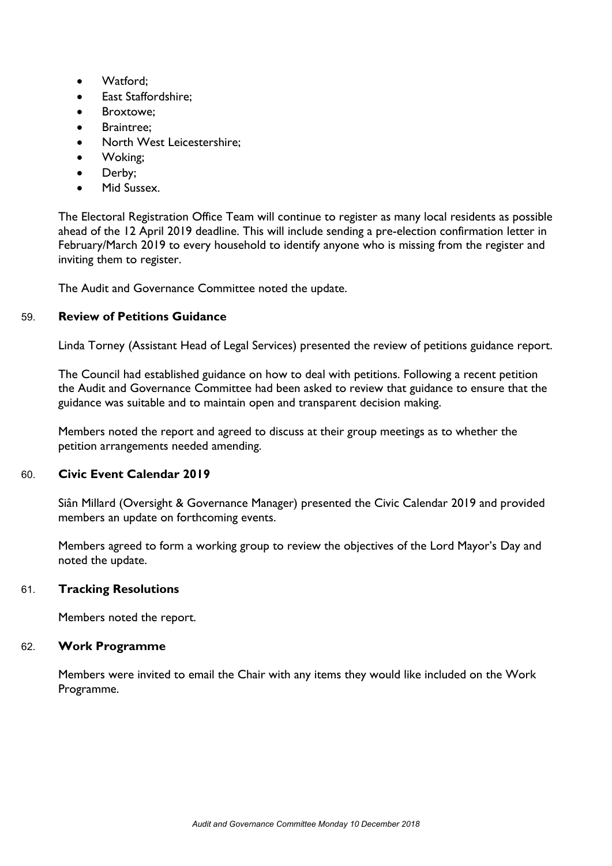- Watford:
- East Staffordshire;
- **•** Broxtowe:
- Braintree;
- North West Leicestershire;
- Woking;
- Derby;
- Mid Sussex.

The Electoral Registration Office Team will continue to register as many local residents as possible ahead of the 12 April 2019 deadline. This will include sending a pre-election confirmation letter in February/March 2019 to every household to identify anyone who is missing from the register and inviting them to register.

The Audit and Governance Committee noted the update.

#### 59. **Review of Petitions Guidance**

Linda Torney (Assistant Head of Legal Services) presented the review of petitions guidance report.

The Council had established guidance on how to deal with petitions. Following a recent petition the Audit and Governance Committee had been asked to review that guidance to ensure that the guidance was suitable and to maintain open and transparent decision making.

Members noted the report and agreed to discuss at their group meetings as to whether the petition arrangements needed amending.

#### 60. **Civic Event Calendar 2019**

Siân Millard (Oversight & Governance Manager) presented the Civic Calendar 2019 and provided members an update on forthcoming events.

Members agreed to form a working group to review the objectives of the Lord Mayor's Day and noted the update.

#### 61. **Tracking Resolutions**

Members noted the report.

#### 62. **Work Programme**

Members were invited to email the Chair with any items they would like included on the Work Programme.